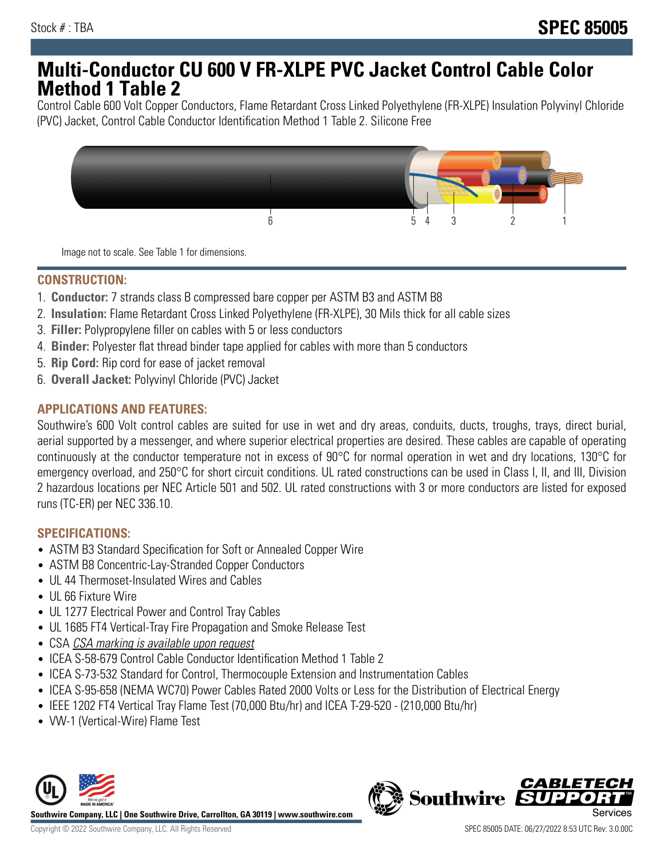## **Multi-Conductor CU 600 V FR-XLPE PVC Jacket Control Cable Color Method 1 Table 2**

Control Cable 600 Volt Copper Conductors, Flame Retardant Cross Linked Polyethylene (FR-XLPE) Insulation Polyvinyl Chloride (PVC) Jacket, Control Cable Conductor Identification Method 1 Table 2. Silicone Free



Image not to scale. See Table 1 for dimensions.

## **CONSTRUCTION:**

- 1. **Conductor:** 7 strands class B compressed bare copper per ASTM B3 and ASTM B8
- 2. **Insulation:** Flame Retardant Cross Linked Polyethylene (FR-XLPE), 30 Mils thick for all cable sizes
- 3. **Filler:** Polypropylene filler on cables with 5 or less conductors
- 4. **Binder:** Polyester flat thread binder tape applied for cables with more than 5 conductors
- 5. **Rip Cord:** Rip cord for ease of jacket removal
- 6. **Overall Jacket:** Polyvinyl Chloride (PVC) Jacket

#### **APPLICATIONS AND FEATURES:**

Southwire's 600 Volt control cables are suited for use in wet and dry areas, conduits, ducts, troughs, trays, direct burial, aerial supported by a messenger, and where superior electrical properties are desired. These cables are capable of operating continuously at the conductor temperature not in excess of 90°C for normal operation in wet and dry locations, 130°C for emergency overload, and 250°C for short circuit conditions. UL rated constructions can be used in Class I, II, and III, Division 2 hazardous locations per NEC Article 501 and 502. UL rated constructions with 3 or more conductors are listed for exposed runs (TC-ER) per NEC 336.10.

#### **SPECIFICATIONS:**

- ASTM B3 Standard Specification for Soft or Annealed Copper Wire
- ASTM B8 Concentric-Lay-Stranded Copper Conductors
- UL 44 Thermoset-Insulated Wires and Cables
- UL 66 Fixture Wire
- UL 1277 Electrical Power and Control Tray Cables
- UL 1685 FT4 Vertical-Tray Fire Propagation and Smoke Release Test
- CSA CSA marking is available upon request
- ICEA S-58-679 Control Cable Conductor Identification Method 1 Table 2
- ICEA S-73-532 Standard for Control, Thermocouple Extension and Instrumentation Cables
- ICEA S-95-658 (NEMA WC70) Power Cables Rated 2000 Volts or Less for the Distribution of Electrical Energy
- IEEE 1202 FT4 Vertical Tray Flame Test (70,000 Btu/hr) and ICEA T-29-520 (210,000 Btu/hr)
- VW-1 (Vertical-Wire) Flame Test



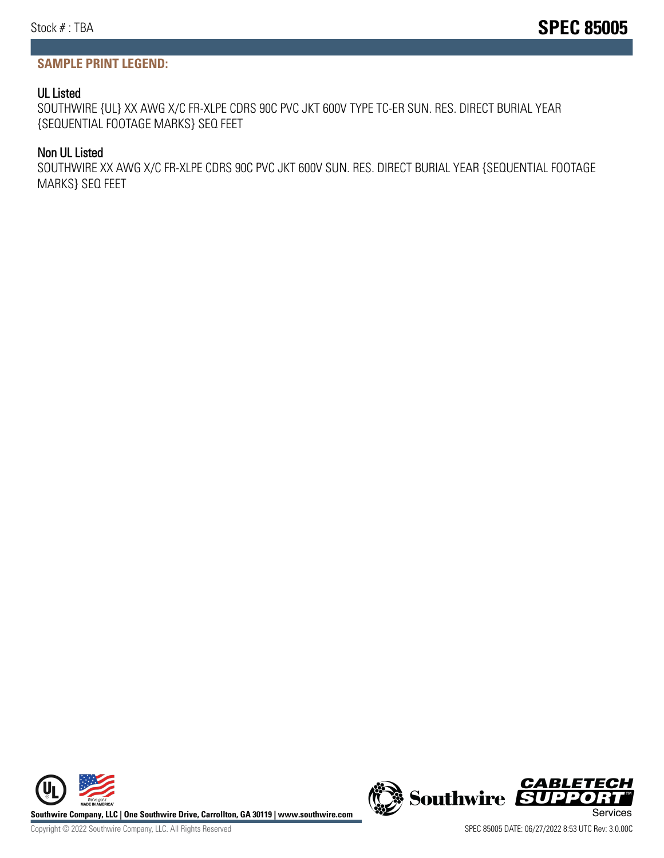#### **SAMPLE PRINT LEGEND:**

#### UL Listed

SOUTHWIRE {UL} XX AWG X/C FR-XLPE CDRS 90C PVC JKT 600V TYPE TC-ER SUN. RES. DIRECT BURIAL YEAR {SEQUENTIAL FOOTAGE MARKS} SEQ FEET

#### Non UL Listed

SOUTHWIRE XX AWG X/C FR-XLPE CDRS 90C PVC JKT 600V SUN. RES. DIRECT BURIAL YEAR {SEQUENTIAL FOOTAGE MARKS} SEQ FEET